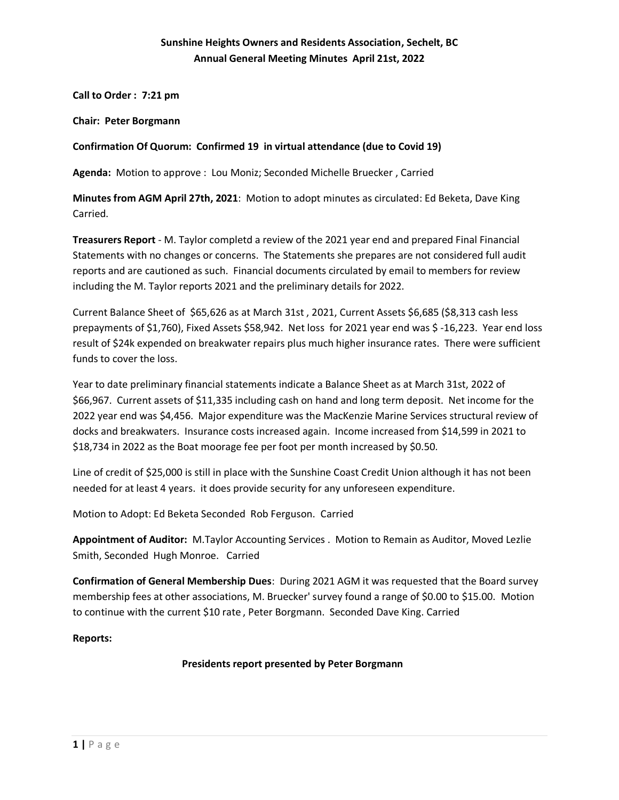**Call to Order : 7:21 pm**

**Chair: Peter Borgmann**

#### **Confirmation Of Quorum: Confirmed 19 in virtual attendance (due to Covid 19)**

**Agenda:** Motion to approve : Lou Moniz; Seconded Michelle Bruecker , Carried

**Minutes from AGM April 27th, 2021**: Motion to adopt minutes as circulated: Ed Beketa, Dave King Carried.

**Treasurers Report** - M. Taylor completd a review of the 2021 year end and prepared Final Financial Statements with no changes or concerns. The Statements she prepares are not considered full audit reports and are cautioned as such. Financial documents circulated by email to members for review including the M. Taylor reports 2021 and the preliminary details for 2022.

Current Balance Sheet of \$65,626 as at March 31st , 2021, Current Assets \$6,685 (\$8,313 cash less prepayments of \$1,760), Fixed Assets \$58,942. Net loss for 2021 year end was \$ -16,223. Year end loss result of \$24k expended on breakwater repairs plus much higher insurance rates. There were sufficient funds to cover the loss.

Year to date preliminary financial statements indicate a Balance Sheet as at March 31st, 2022 of \$66,967. Current assets of \$11,335 including cash on hand and long term deposit. Net income for the 2022 year end was \$4,456. Major expenditure was the MacKenzie Marine Services structural review of docks and breakwaters. Insurance costs increased again. Income increased from \$14,599 in 2021 to \$18,734 in 2022 as the Boat moorage fee per foot per month increased by \$0.50.

Line of credit of \$25,000 is still in place with the Sunshine Coast Credit Union although it has not been needed for at least 4 years. it does provide security for any unforeseen expenditure.

Motion to Adopt: Ed Beketa Seconded Rob Ferguson. Carried

**Appointment of Auditor:** M.Taylor Accounting Services . Motion to Remain as Auditor, Moved Lezlie Smith, Seconded Hugh Monroe. Carried

**Confirmation of General Membership Dues**: During 2021 AGM it was requested that the Board survey membership fees at other associations, M. Bruecker' survey found a range of \$0.00 to \$15.00. Motion to continue with the current \$10 rate , Peter Borgmann. Seconded Dave King. Carried

**Reports:**

**Presidents report presented by Peter Borgmann**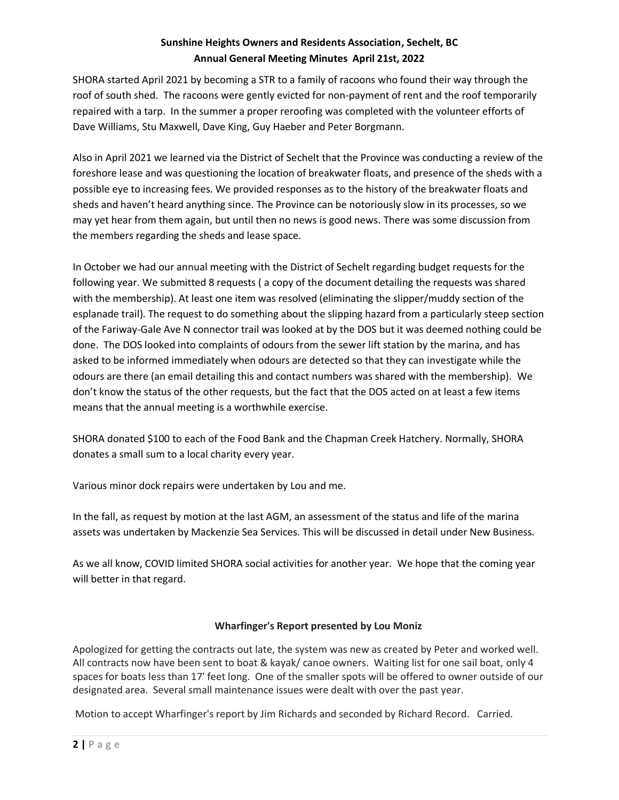SHORA started April 2021 by becoming a STR to a family of racoons who found their way through the roof of south shed. The racoons were gently evicted for non-payment of rent and the roof temporarily repaired with a tarp. In the summer a proper reroofing was completed with the volunteer efforts of Dave Williams, Stu Maxwell, Dave King, Guy Haeber and Peter Borgmann.

Also in April 2021 we learned via the District of Sechelt that the Province was conducting a review of the foreshore lease and was questioning the location of breakwater floats, and presence of the sheds with a possible eye to increasing fees. We provided responses as to the history of the breakwater floats and sheds and haven't heard anything since. The Province can be notoriously slow in its processes, so we may yet hear from them again, but until then no news is good news. There was some discussion from the members regarding the sheds and lease space.

In October we had our annual meeting with the District of Sechelt regarding budget requests for the following year. We submitted 8 requests ( a copy of the document detailing the requests was shared with the membership). At least one item was resolved (eliminating the slipper/muddy section of the esplanade trail). The request to do something about the slipping hazard from a particularly steep section of the Fariway-Gale Ave N connector trail was looked at by the DOS but it was deemed nothing could be done. The DOS looked into complaints of odours from the sewer lift station by the marina, and has asked to be informed immediately when odours are detected so that they can investigate while the odours are there (an email detailing this and contact numbers was shared with the membership). We don't know the status of the other requests, but the fact that the DOS acted on at least a few items means that the annual meeting is a worthwhile exercise.

SHORA donated \$100 to each of the Food Bank and the Chapman Creek Hatchery. Normally, SHORA donates a small sum to a local charity every year.

Various minor dock repairs were undertaken by Lou and me.

In the fall, as request by motion at the last AGM, an assessment of the status and life of the marina assets was undertaken by Mackenzie Sea Services. This will be discussed in detail under New Business.

As we all know, COVID limited SHORA social activities for another year. We hope that the coming year will better in that regard.

### **Wharfinger's Report presented by Lou Moniz**

Apologized for getting the contracts out late, the system was new as created by Peter and worked well. All contracts now have been sent to boat & kayak/ canoe owners. Waiting list for one sail boat, only 4 spaces for boats less than 17' feet long. One of the smaller spots will be offered to owner outside of our designated area. Several small maintenance issues were dealt with over the past year.

Motion to accept Wharfinger's report by Jim Richards and seconded by Richard Record. Carried.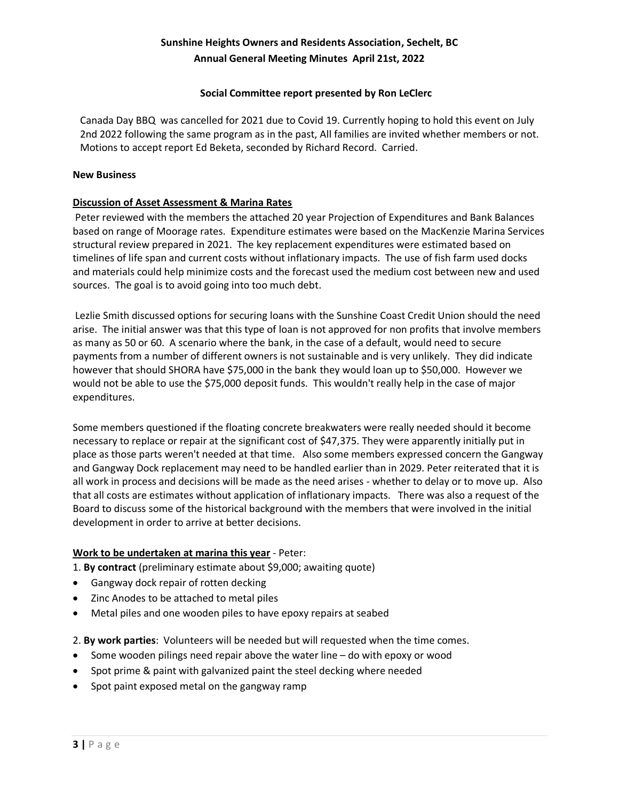#### **Social Committee report presented by Ron LeClerc**

Canada Day BBQ was cancelled for 2021 due to Covid 19. Currently hoping to hold this event on July 2nd 2022 following the same program as in the past, All families are invited whether members or not. Motions to accept report Ed Beketa, seconded by Richard Record. Carried.

#### **New Business**

#### **Discussion of Asset Assessment & Marina Rates**

Peter reviewed with the members the attached 20 year Projection of Expenditures and Bank Balances based on range of Moorage rates. Expenditure estimates were based on the MacKenzie Marina Services structural review prepared in 2021. The key replacement expenditures were estimated based on timelines of life span and current costs without inflationary impacts. The use of fish farm used docks and materials could help minimize costs and the forecast used the medium cost between new and used sources. The goal is to avoid going into too much debt.

Lezlie Smith discussed options for securing loans with the Sunshine Coast Credit Union should the need arise. The initial answer was that this type of loan is not approved for non profits that involve members as many as 50 or 60. A scenario where the bank, in the case of a default, would need to secure payments from a number of different owners is not sustainable and is very unlikely. They did indicate however that should SHORA have \$75,000 in the bank they would loan up to \$50,000. However we would not be able to use the \$75,000 deposit funds. This wouldn't really help in the case of major expenditures.

Some members questioned if the floating concrete breakwaters were really needed should it become necessary to replace or repair at the significant cost of \$47,375. They were apparently initially put in place as those parts weren't needed at that time. Also some members expressed concern the Gangway and Gangway Dock replacement may need to be handled earlier than in 2029. Peter reiterated that it is all work in process and decisions will be made as the need arises - whether to delay or to move up. Also that all costs are estimates without application of inflationary impacts. There was also a request of the Board to discuss some of the historical background with the members that were involved in the initial development in order to arrive at better decisions.

### **Work to be undertaken at marina this year** - Peter:

1. **By contract** (preliminary estimate about \$9,000; awaiting quote)

- Gangway dock repair of rotten decking
- Zinc Anodes to be attached to metal piles
- Metal piles and one wooden piles to have epoxy repairs at seabed

2. **By work parties**: Volunteers will be needed but will requested when the time comes.

- Some wooden pilings need repair above the water line do with epoxy or wood
- Spot prime & paint with galvanized paint the steel decking where needed
- Spot paint exposed metal on the gangway ramp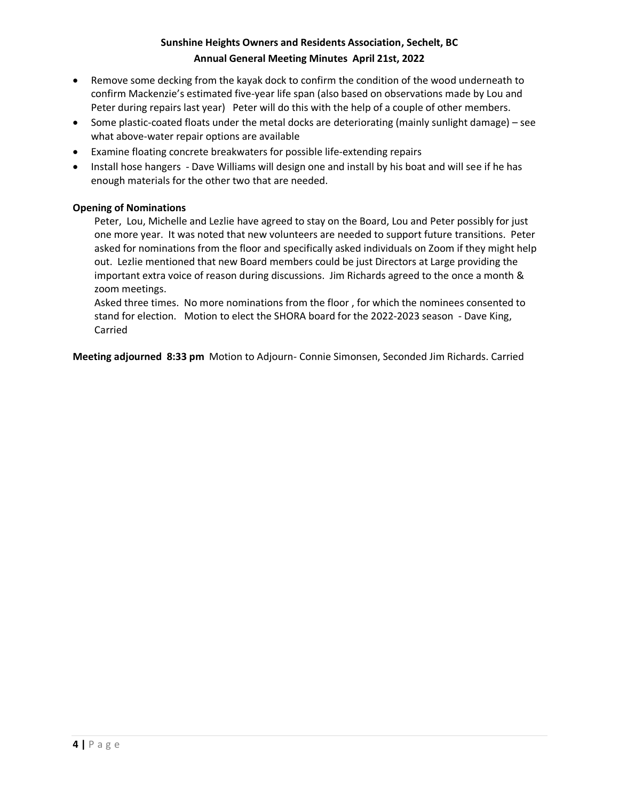- Remove some decking from the kayak dock to confirm the condition of the wood underneath to confirm Mackenzie's estimated five-year life span (also based on observations made by Lou and Peter during repairs last year) Peter will do this with the help of a couple of other members.
- Some plastic-coated floats under the metal docks are deteriorating (mainly sunlight damage) see what above-water repair options are available
- Examine floating concrete breakwaters for possible life-extending repairs
- Install hose hangers Dave Williams will design one and install by his boat and will see if he has enough materials for the other two that are needed.

### **Opening of Nominations**

Peter, Lou, Michelle and Lezlie have agreed to stay on the Board, Lou and Peter possibly for just one more year. It was noted that new volunteers are needed to support future transitions. Peter asked for nominations from the floor and specifically asked individuals on Zoom if they might help out. Lezlie mentioned that new Board members could be just Directors at Large providing the important extra voice of reason during discussions. Jim Richards agreed to the once a month & zoom meetings.

Asked three times. No more nominations from the floor , for which the nominees consented to stand for election. Motion to elect the SHORA board for the 2022-2023 season - Dave King, Carried

**Meeting adjourned 8:33 pm** Motion to Adjourn- Connie Simonsen, Seconded Jim Richards. Carried